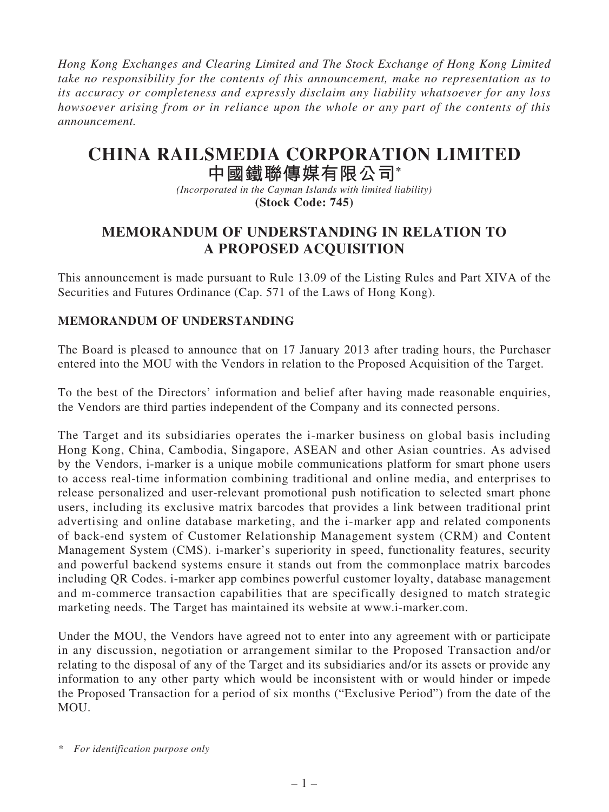*Hong Kong Exchanges and Clearing Limited and The Stock Exchange of Hong Kong Limited take no responsibility for the contents of this announcement, make no representation as to its accuracy or completeness and expressly disclaim any liability whatsoever for any loss howsoever arising from or in reliance upon the whole or any part of the contents of this announcement.*

# **CHINA RAILSMEDIA CORPORATION LIMITED**

## **中國鐵聯傳媒有限公司\***

*(Incorporated in the Cayman Islands with limited liability)* **(Stock Code: 745)**

### **MEMORANDUM OF UNDERSTANDING IN RELATION TO A PROPOSED ACQUISITION**

This announcement is made pursuant to Rule 13.09 of the Listing Rules and Part XIVA of the Securities and Futures Ordinance (Cap. 571 of the Laws of Hong Kong).

#### **MEMORANDUM OF UNDERSTANDING**

The Board is pleased to announce that on 17 January 2013 after trading hours, the Purchaser entered into the MOU with the Vendors in relation to the Proposed Acquisition of the Target.

To the best of the Directors' information and belief after having made reasonable enquiries, the Vendors are third parties independent of the Company and its connected persons.

The Target and its subsidiaries operates the i-marker business on global basis including Hong Kong, China, Cambodia, Singapore, ASEAN and other Asian countries. As advised by the Vendors, i-marker is a unique mobile communications platform for smart phone users to access real-time information combining traditional and online media, and enterprises to release personalized and user-relevant promotional push notification to selected smart phone users, including its exclusive matrix barcodes that provides a link between traditional print advertising and online database marketing, and the i-marker app and related components of back-end system of Customer Relationship Management system (CRM) and Content Management System (CMS). i-marker's superiority in speed, functionality features, security and powerful backend systems ensure it stands out from the commonplace matrix barcodes including QR Codes. i-marker app combines powerful customer loyalty, database management and m-commerce transaction capabilities that are specifically designed to match strategic marketing needs. The Target has maintained its website at www.i-marker.com.

Under the MOU, the Vendors have agreed not to enter into any agreement with or participate in any discussion, negotiation or arrangement similar to the Proposed Transaction and/or relating to the disposal of any of the Target and its subsidiaries and/or its assets or provide any information to any other party which would be inconsistent with or would hinder or impede the Proposed Transaction for a period of six months ("Exclusive Period") from the date of the MOU.

*\* For identification purpose only*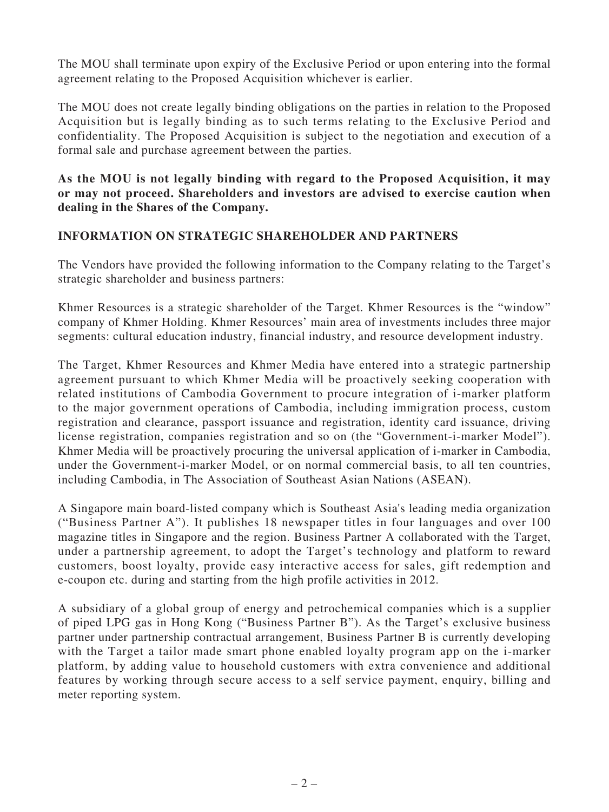The MOU shall terminate upon expiry of the Exclusive Period or upon entering into the formal agreement relating to the Proposed Acquisition whichever is earlier.

The MOU does not create legally binding obligations on the parties in relation to the Proposed Acquisition but is legally binding as to such terms relating to the Exclusive Period and confidentiality. The Proposed Acquisition is subject to the negotiation and execution of a formal sale and purchase agreement between the parties.

**As the MOU is not legally binding with regard to the Proposed Acquisition, it may or may not proceed. Shareholders and investors are advised to exercise caution when dealing in the Shares of the Company.**

#### **INFORMATION ON STRATEGIC SHAREHOLDER AND PARTNERS**

The Vendors have provided the following information to the Company relating to the Target's strategic shareholder and business partners:

Khmer Resources is a strategic shareholder of the Target. Khmer Resources is the "window" company of Khmer Holding. Khmer Resources' main area of investments includes three major segments: cultural education industry, financial industry, and resource development industry.

The Target, Khmer Resources and Khmer Media have entered into a strategic partnership agreement pursuant to which Khmer Media will be proactively seeking cooperation with related institutions of Cambodia Government to procure integration of i-marker platform to the major government operations of Cambodia, including immigration process, custom registration and clearance, passport issuance and registration, identity card issuance, driving license registration, companies registration and so on (the "Government-i-marker Model"). Khmer Media will be proactively procuring the universal application of i-marker in Cambodia, under the Government-i-marker Model, or on normal commercial basis, to all ten countries, including Cambodia, in The Association of Southeast Asian Nations (ASEAN).

A Singapore main board-listed company which is Southeast Asia's leading media organization ("Business Partner A"). It publishes 18 newspaper titles in four languages and over 100 magazine titles in Singapore and the region. Business Partner A collaborated with the Target, under a partnership agreement, to adopt the Target's technology and platform to reward customers, boost loyalty, provide easy interactive access for sales, gift redemption and e-coupon etc. during and starting from the high profile activities in 2012.

A subsidiary of a global group of energy and petrochemical companies which is a supplier of piped LPG gas in Hong Kong ("Business Partner B"). As the Target's exclusive business partner under partnership contractual arrangement, Business Partner B is currently developing with the Target a tailor made smart phone enabled loyalty program app on the i-marker platform, by adding value to household customers with extra convenience and additional features by working through secure access to a self service payment, enquiry, billing and meter reporting system.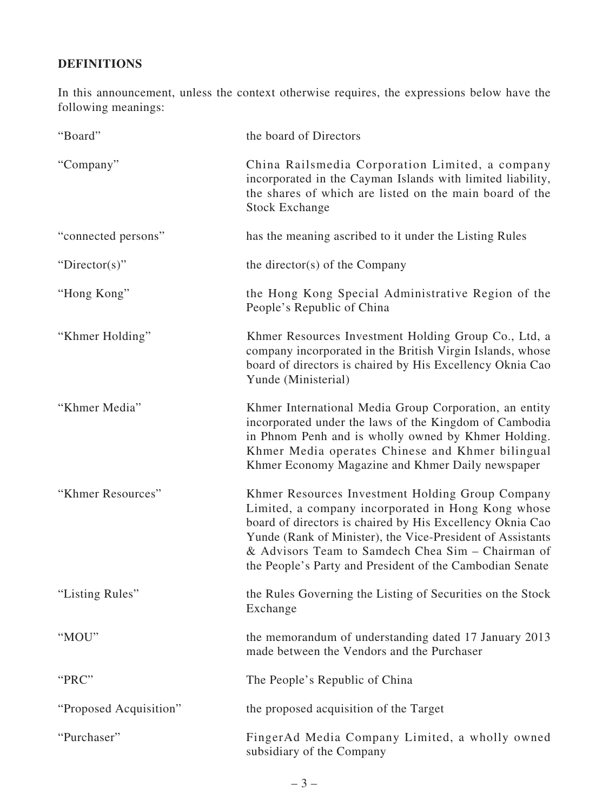## **DEFINITIONS**

In this announcement, unless the context otherwise requires, the expressions below have the following meanings:

| "Board"                | the board of Directors                                                                                                                                                                                                                                                                                                                             |
|------------------------|----------------------------------------------------------------------------------------------------------------------------------------------------------------------------------------------------------------------------------------------------------------------------------------------------------------------------------------------------|
| "Company"              | China Railsmedia Corporation Limited, a company<br>incorporated in the Cayman Islands with limited liability,<br>the shares of which are listed on the main board of the<br><b>Stock Exchange</b>                                                                                                                                                  |
| "connected persons"    | has the meaning ascribed to it under the Listing Rules                                                                                                                                                                                                                                                                                             |
| "Director(s)"          | the director(s) of the Company                                                                                                                                                                                                                                                                                                                     |
| "Hong Kong"            | the Hong Kong Special Administrative Region of the<br>People's Republic of China                                                                                                                                                                                                                                                                   |
| "Khmer Holding"        | Khmer Resources Investment Holding Group Co., Ltd, a<br>company incorporated in the British Virgin Islands, whose<br>board of directors is chaired by His Excellency Oknia Cao<br>Yunde (Ministerial)                                                                                                                                              |
| "Khmer Media"          | Khmer International Media Group Corporation, an entity<br>incorporated under the laws of the Kingdom of Cambodia<br>in Phnom Penh and is wholly owned by Khmer Holding.<br>Khmer Media operates Chinese and Khmer bilingual<br>Khmer Economy Magazine and Khmer Daily newspaper                                                                    |
| "Khmer Resources"      | Khmer Resources Investment Holding Group Company<br>Limited, a company incorporated in Hong Kong whose<br>board of directors is chaired by His Excellency Oknia Cao<br>Yunde (Rank of Minister), the Vice-President of Assistants<br>& Advisors Team to Samdech Chea Sim – Chairman of<br>the People's Party and President of the Cambodian Senate |
| "Listing Rules"        | the Rules Governing the Listing of Securities on the Stock<br>Exchange                                                                                                                                                                                                                                                                             |
| "MOU"                  | the memorandum of understanding dated 17 January 2013<br>made between the Vendors and the Purchaser                                                                                                                                                                                                                                                |
| "PRC"                  | The People's Republic of China                                                                                                                                                                                                                                                                                                                     |
| "Proposed Acquisition" | the proposed acquisition of the Target                                                                                                                                                                                                                                                                                                             |
| "Purchaser"            | FingerAd Media Company Limited, a wholly owned<br>subsidiary of the Company                                                                                                                                                                                                                                                                        |